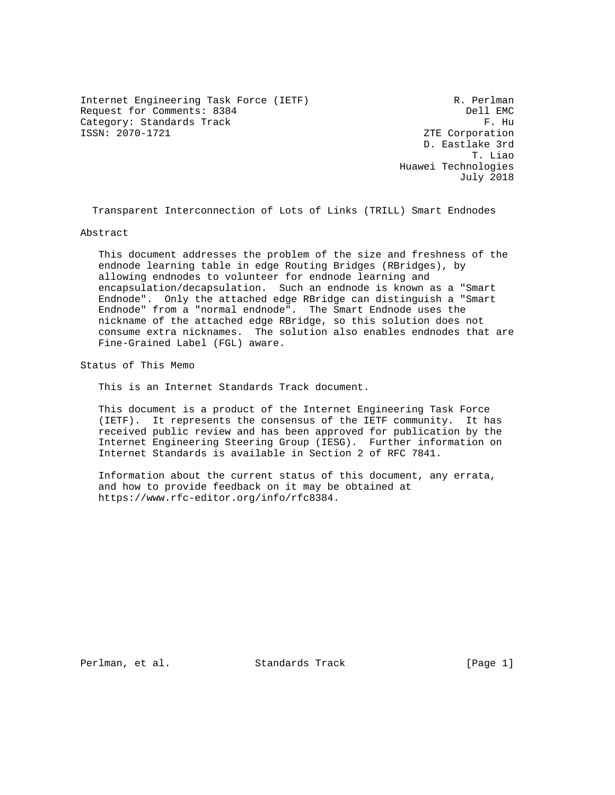Internet Engineering Task Force (IETF) R. Perlman Request for Comments: 8384 Dell EMC Category: Standards Track F. Hu F. Hu F. Hu F. Hu F. Hu F. Hu F. Hu F. Hu F. Hu F. Hu F. Hu F. Hu F. Hu F. Hu  $\sim$  ZTE Corporation

ZTE Corporation D. Eastlake 3rd T. Liao Huawei Technologies July 2018

Transparent Interconnection of Lots of Links (TRILL) Smart Endnodes

Abstract

 This document addresses the problem of the size and freshness of the endnode learning table in edge Routing Bridges (RBridges), by allowing endnodes to volunteer for endnode learning and encapsulation/decapsulation. Such an endnode is known as a "Smart Endnode". Only the attached edge RBridge can distinguish a "Smart Endnode" from a "normal endnode". The Smart Endnode uses the nickname of the attached edge RBridge, so this solution does not consume extra nicknames. The solution also enables endnodes that are Fine-Grained Label (FGL) aware.

Status of This Memo

This is an Internet Standards Track document.

 This document is a product of the Internet Engineering Task Force (IETF). It represents the consensus of the IETF community. It has received public review and has been approved for publication by the Internet Engineering Steering Group (IESG). Further information on Internet Standards is available in Section 2 of RFC 7841.

 Information about the current status of this document, any errata, and how to provide feedback on it may be obtained at https://www.rfc-editor.org/info/rfc8384.

Perlman, et al. Standards Track [Page 1]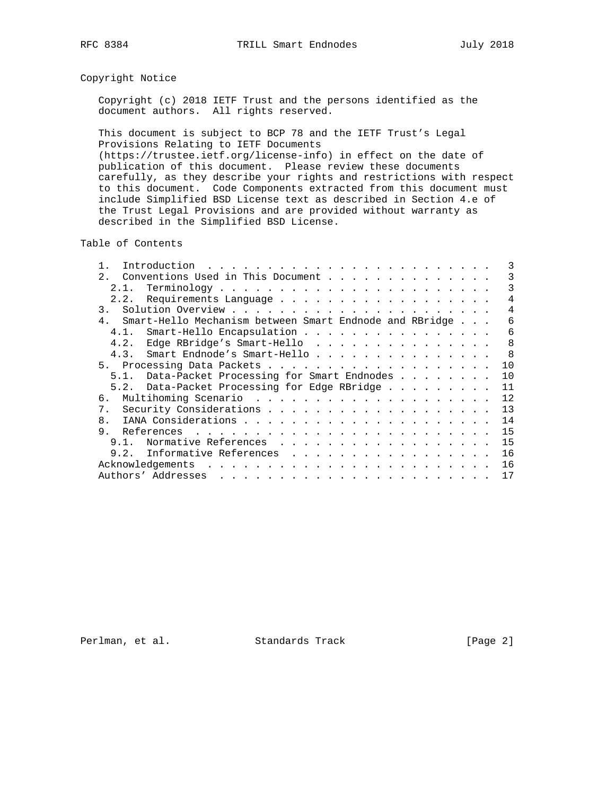# Copyright Notice

 Copyright (c) 2018 IETF Trust and the persons identified as the document authors. All rights reserved.

 This document is subject to BCP 78 and the IETF Trust's Legal Provisions Relating to IETF Documents (https://trustee.ietf.org/license-info) in effect on the date of publication of this document. Please review these documents carefully, as they describe your rights and restrictions with respect

 to this document. Code Components extracted from this document must include Simplified BSD License text as described in Section 4.e of the Trust Legal Provisions and are provided without warranty as described in the Simplified BSD License.

Table of Contents

| Conventions Used in This Document<br>2.                 | 3            |
|---------------------------------------------------------|--------------|
| 2.1.                                                    | 3            |
| Requirements Language<br>2.2.                           | 4            |
| $\overline{3}$ .                                        | 4            |
| Smart-Hello Mechanism between Smart Endnode and RBridge | 6            |
| Smart-Hello Encapsulation<br>4.1.                       | 6            |
| Edge RBridge's Smart-Hello<br>4.2.                      | $\mathsf{R}$ |
| 4.3. Smart Endnode's Smart-Hello                        | -8           |
|                                                         | 1 O          |
| 5.1. Data-Packet Processing for Smart Endnodes          | 10           |
| 5.2. Data-Packet Processing for Edge RBridge            | 11           |
| б.                                                      | 12           |
| 7.                                                      | 13           |
| 8.                                                      | 14           |
| 9.                                                      | 15           |
| Normative References<br>9.1.                            | 15           |
| 9.2. Informative References                             | 16           |
|                                                         | 16           |
|                                                         | 17           |

Perlman, et al. Standards Track [Page 2]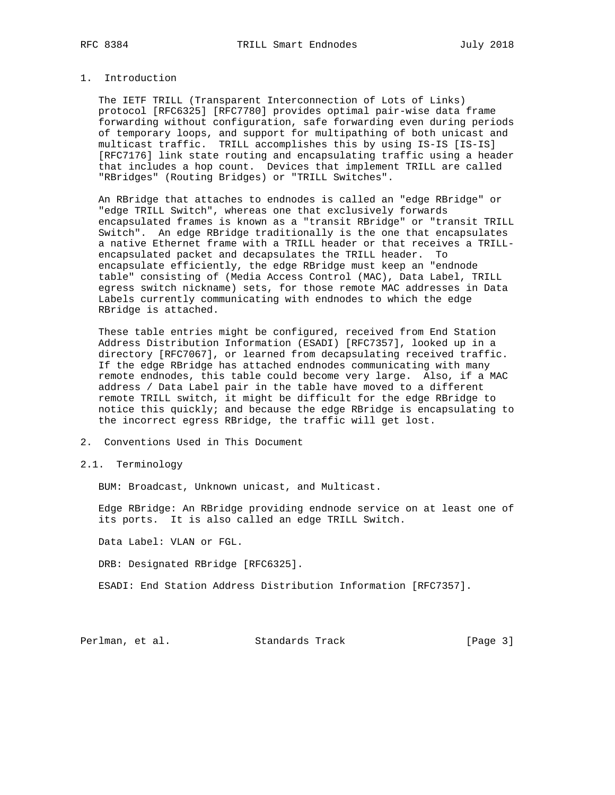### 1. Introduction

 The IETF TRILL (Transparent Interconnection of Lots of Links) protocol [RFC6325] [RFC7780] provides optimal pair-wise data frame forwarding without configuration, safe forwarding even during periods of temporary loops, and support for multipathing of both unicast and multicast traffic. TRILL accomplishes this by using IS-IS [IS-IS] [RFC7176] link state routing and encapsulating traffic using a header that includes a hop count. Devices that implement TRILL are called "RBridges" (Routing Bridges) or "TRILL Switches".

 An RBridge that attaches to endnodes is called an "edge RBridge" or "edge TRILL Switch", whereas one that exclusively forwards encapsulated frames is known as a "transit RBridge" or "transit TRILL Switch". An edge RBridge traditionally is the one that encapsulates a native Ethernet frame with a TRILL header or that receives a TRILL encapsulated packet and decapsulates the TRILL header. To encapsulate efficiently, the edge RBridge must keep an "endnode table" consisting of (Media Access Control (MAC), Data Label, TRILL egress switch nickname) sets, for those remote MAC addresses in Data Labels currently communicating with endnodes to which the edge RBridge is attached.

 These table entries might be configured, received from End Station Address Distribution Information (ESADI) [RFC7357], looked up in a directory [RFC7067], or learned from decapsulating received traffic. If the edge RBridge has attached endnodes communicating with many remote endnodes, this table could become very large. Also, if a MAC address / Data Label pair in the table have moved to a different remote TRILL switch, it might be difficult for the edge RBridge to notice this quickly; and because the edge RBridge is encapsulating to the incorrect egress RBridge, the traffic will get lost.

2. Conventions Used in This Document

2.1. Terminology

BUM: Broadcast, Unknown unicast, and Multicast.

 Edge RBridge: An RBridge providing endnode service on at least one of its ports. It is also called an edge TRILL Switch.

Data Label: VLAN or FGL.

DRB: Designated RBridge [RFC6325].

ESADI: End Station Address Distribution Information [RFC7357].

Perlman, et al. Standards Track [Page 3]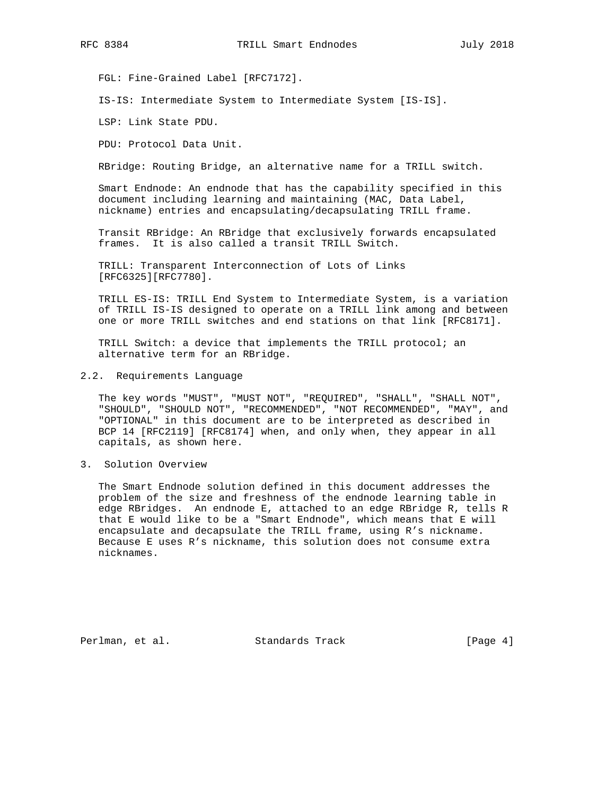FGL: Fine-Grained Label [RFC7172].

IS-IS: Intermediate System to Intermediate System [IS-IS].

LSP: Link State PDU.

PDU: Protocol Data Unit.

RBridge: Routing Bridge, an alternative name for a TRILL switch.

 Smart Endnode: An endnode that has the capability specified in this document including learning and maintaining (MAC, Data Label, nickname) entries and encapsulating/decapsulating TRILL frame.

 Transit RBridge: An RBridge that exclusively forwards encapsulated frames. It is also called a transit TRILL Switch.

 TRILL: Transparent Interconnection of Lots of Links [RFC6325][RFC7780].

 TRILL ES-IS: TRILL End System to Intermediate System, is a variation of TRILL IS-IS designed to operate on a TRILL link among and between one or more TRILL switches and end stations on that link [RFC8171].

 TRILL Switch: a device that implements the TRILL protocol; an alternative term for an RBridge.

2.2. Requirements Language

 The key words "MUST", "MUST NOT", "REQUIRED", "SHALL", "SHALL NOT", "SHOULD", "SHOULD NOT", "RECOMMENDED", "NOT RECOMMENDED", "MAY", and "OPTIONAL" in this document are to be interpreted as described in BCP 14 [RFC2119] [RFC8174] when, and only when, they appear in all capitals, as shown here.

3. Solution Overview

 The Smart Endnode solution defined in this document addresses the problem of the size and freshness of the endnode learning table in edge RBridges. An endnode E, attached to an edge RBridge R, tells R that E would like to be a "Smart Endnode", which means that E will encapsulate and decapsulate the TRILL frame, using R's nickname. Because E uses R's nickname, this solution does not consume extra nicknames.

Perlman, et al. Standards Track [Page 4]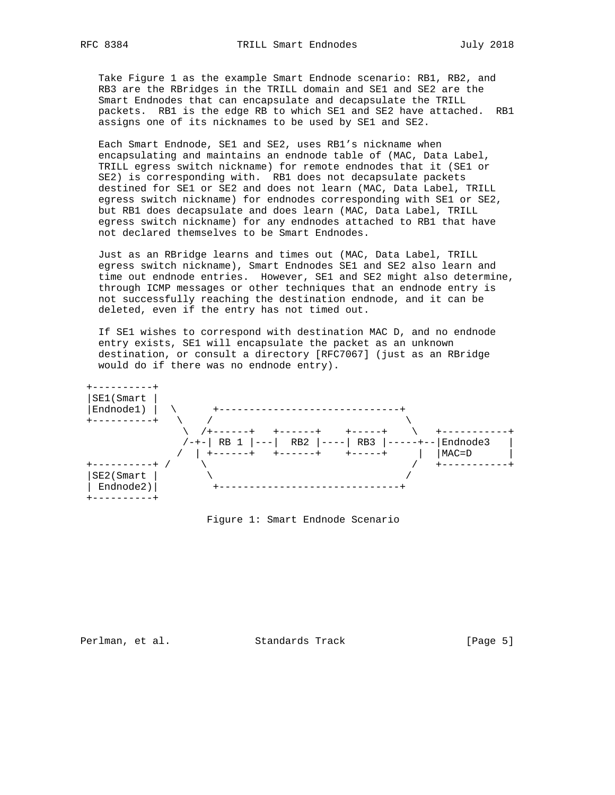Take Figure 1 as the example Smart Endnode scenario: RB1, RB2, and RB3 are the RBridges in the TRILL domain and SE1 and SE2 are the Smart Endnodes that can encapsulate and decapsulate the TRILL packets. RB1 is the edge RB to which SE1 and SE2 have attached. RB1 assigns one of its nicknames to be used by SE1 and SE2.

 Each Smart Endnode, SE1 and SE2, uses RB1's nickname when encapsulating and maintains an endnode table of (MAC, Data Label, TRILL egress switch nickname) for remote endnodes that it (SE1 or SE2) is corresponding with. RB1 does not decapsulate packets destined for SE1 or SE2 and does not learn (MAC, Data Label, TRILL egress switch nickname) for endnodes corresponding with SE1 or SE2, but RB1 does decapsulate and does learn (MAC, Data Label, TRILL egress switch nickname) for any endnodes attached to RB1 that have not declared themselves to be Smart Endnodes.

 Just as an RBridge learns and times out (MAC, Data Label, TRILL egress switch nickname), Smart Endnodes SE1 and SE2 also learn and time out endnode entries. However, SE1 and SE2 might also determine, through ICMP messages or other techniques that an endnode entry is not successfully reaching the destination endnode, and it can be deleted, even if the entry has not timed out.

 If SE1 wishes to correspond with destination MAC D, and no endnode entry exists, SE1 will encapsulate the packet as an unknown destination, or consult a directory [RFC7067] (just as an RBridge would do if there was no endnode entry).



Figure 1: Smart Endnode Scenario

Perlman, et al. Standards Track [Page 5]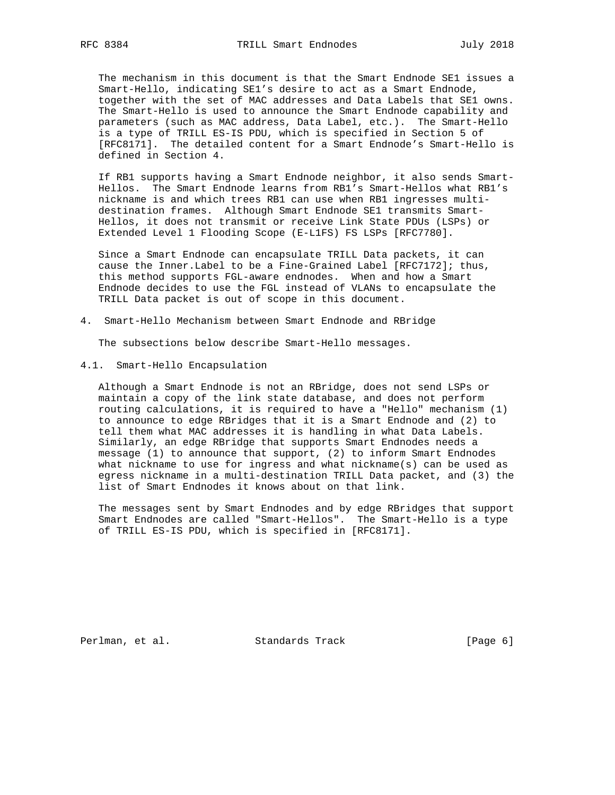The mechanism in this document is that the Smart Endnode SE1 issues a Smart-Hello, indicating SE1's desire to act as a Smart Endnode, together with the set of MAC addresses and Data Labels that SE1 owns. The Smart-Hello is used to announce the Smart Endnode capability and parameters (such as MAC address, Data Label, etc.). The Smart-Hello is a type of TRILL ES-IS PDU, which is specified in Section 5 of [RFC8171]. The detailed content for a Smart Endnode's Smart-Hello is defined in Section 4.

 If RB1 supports having a Smart Endnode neighbor, it also sends Smart- Hellos. The Smart Endnode learns from RB1's Smart-Hellos what RB1's nickname is and which trees RB1 can use when RB1 ingresses multi destination frames. Although Smart Endnode SE1 transmits Smart- Hellos, it does not transmit or receive Link State PDUs (LSPs) or Extended Level 1 Flooding Scope (E-L1FS) FS LSPs [RFC7780].

 Since a Smart Endnode can encapsulate TRILL Data packets, it can cause the Inner.Label to be a Fine-Grained Label [RFC7172]; thus, this method supports FGL-aware endnodes. When and how a Smart Endnode decides to use the FGL instead of VLANs to encapsulate the TRILL Data packet is out of scope in this document.

4. Smart-Hello Mechanism between Smart Endnode and RBridge

The subsections below describe Smart-Hello messages.

4.1. Smart-Hello Encapsulation

 Although a Smart Endnode is not an RBridge, does not send LSPs or maintain a copy of the link state database, and does not perform routing calculations, it is required to have a "Hello" mechanism (1) to announce to edge RBridges that it is a Smart Endnode and (2) to tell them what MAC addresses it is handling in what Data Labels. Similarly, an edge RBridge that supports Smart Endnodes needs a message (1) to announce that support, (2) to inform Smart Endnodes what nickname to use for ingress and what nickname(s) can be used as egress nickname in a multi-destination TRILL Data packet, and (3) the list of Smart Endnodes it knows about on that link.

 The messages sent by Smart Endnodes and by edge RBridges that support Smart Endnodes are called "Smart-Hellos". The Smart-Hello is a type of TRILL ES-IS PDU, which is specified in [RFC8171].

Perlman, et al. Standards Track [Page 6]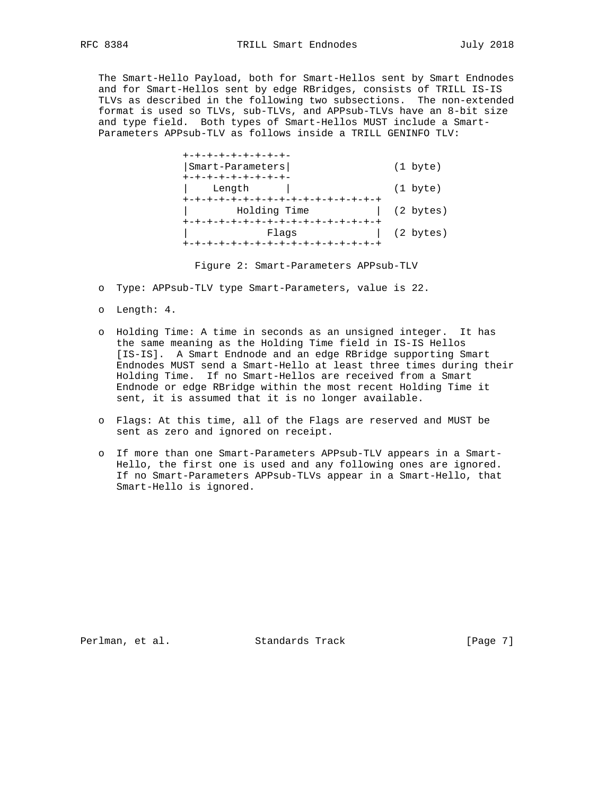The Smart-Hello Payload, both for Smart-Hellos sent by Smart Endnodes and for Smart-Hellos sent by edge RBridges, consists of TRILL IS-IS TLVs as described in the following two subsections. The non-extended format is used so TLVs, sub-TLVs, and APPsub-TLVs have an 8-bit size and type field. Both types of Smart-Hellos MUST include a Smart- Parameters APPsub-TLV as follows inside a TRILL GENINFO TLV:

 +-+-+-+-+-+-+-+-+- |Smart-Parameters| (1 byte) +-+-+-+-+-+-+-+-+- Length | (1 byte) .<br>+-+-+-+-+-+-+-+-+-+-+-+-+-+-+-+-+-+ | Holding Time | (2 bytes) +-+-+-+-+-+-+-+-+-+-+-+-+-+-+-+-+ | Flags | (2 bytes) +-+-+-+-+-+-+-+-+-+-+-+-+-+-+-+-+

Figure 2: Smart-Parameters APPsub-TLV

- o Type: APPsub-TLV type Smart-Parameters, value is 22.
- o Length: 4.
- o Holding Time: A time in seconds as an unsigned integer. It has the same meaning as the Holding Time field in IS-IS Hellos [IS-IS]. A Smart Endnode and an edge RBridge supporting Smart Endnodes MUST send a Smart-Hello at least three times during their Holding Time. If no Smart-Hellos are received from a Smart Endnode or edge RBridge within the most recent Holding Time it sent, it is assumed that it is no longer available.
- o Flags: At this time, all of the Flags are reserved and MUST be sent as zero and ignored on receipt.
- o If more than one Smart-Parameters APPsub-TLV appears in a Smart- Hello, the first one is used and any following ones are ignored. If no Smart-Parameters APPsub-TLVs appear in a Smart-Hello, that Smart-Hello is ignored.

Perlman, et al. Standards Track [Page 7]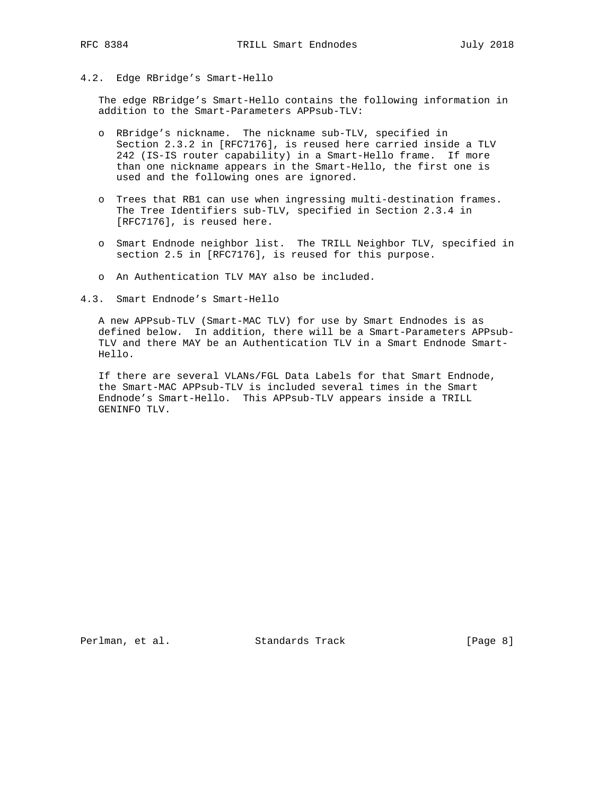4.2. Edge RBridge's Smart-Hello

 The edge RBridge's Smart-Hello contains the following information in addition to the Smart-Parameters APPsub-TLV:

- o RBridge's nickname. The nickname sub-TLV, specified in Section 2.3.2 in [RFC7176], is reused here carried inside a TLV 242 (IS-IS router capability) in a Smart-Hello frame. If more than one nickname appears in the Smart-Hello, the first one is used and the following ones are ignored.
- o Trees that RB1 can use when ingressing multi-destination frames. The Tree Identifiers sub-TLV, specified in Section 2.3.4 in [RFC7176], is reused here.
- o Smart Endnode neighbor list. The TRILL Neighbor TLV, specified in section 2.5 in [RFC7176], is reused for this purpose.
- o An Authentication TLV MAY also be included.
- 4.3. Smart Endnode's Smart-Hello

 A new APPsub-TLV (Smart-MAC TLV) for use by Smart Endnodes is as defined below. In addition, there will be a Smart-Parameters APPsub- TLV and there MAY be an Authentication TLV in a Smart Endnode Smart- Hello.

 If there are several VLANs/FGL Data Labels for that Smart Endnode, the Smart-MAC APPsub-TLV is included several times in the Smart Endnode's Smart-Hello. This APPsub-TLV appears inside a TRILL GENINFO TLV.

Perlman, et al. Standards Track [Page 8]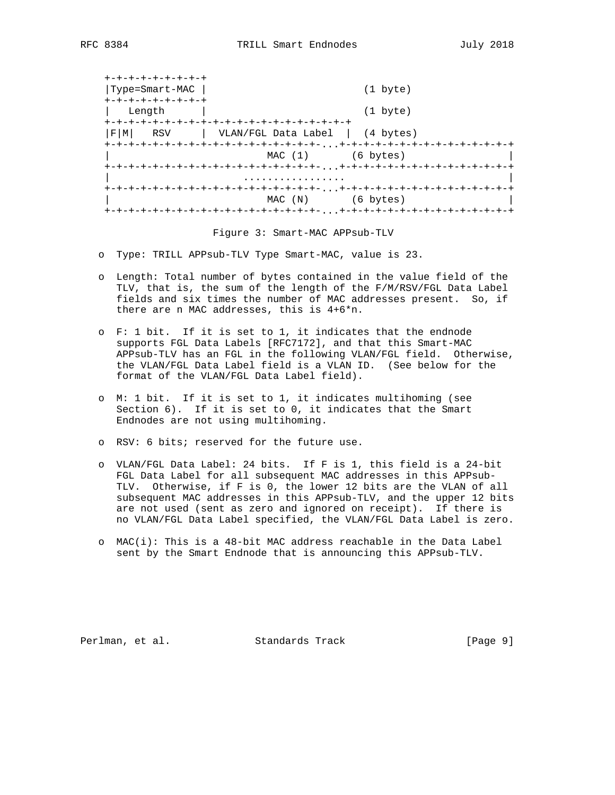| +-+-+-+-+-+-+-+-+ |                                                                      |
|-------------------|----------------------------------------------------------------------|
| Type=Smart-MAC    | $(1 \text{byte})$                                                    |
| +-+-+-+-+-+-+-+-+ |                                                                      |
| Length            | $(1 \text{byte})$                                                    |
|                   |                                                                      |
| RSV<br>FI<br>MI   | VLAN/FGL Data Label   (4 bytes)                                      |
|                   |                                                                      |
|                   | $MAC(1)$ (6 bytes)                                                   |
|                   |                                                                      |
|                   |                                                                      |
|                   | +-+-+-+-+-+-+-+-+-+-+-+-+-+-+-+-+-+-+-,, ,+-+-+-+-+-+-+-+-+-+-+-+-+- |
|                   | MAC (N) (6 bytes)                                                    |
|                   |                                                                      |

#### Figure 3: Smart-MAC APPsub-TLV

- o Type: TRILL APPsub-TLV Type Smart-MAC, value is 23.
- o Length: Total number of bytes contained in the value field of the TLV, that is, the sum of the length of the F/M/RSV/FGL Data Label fields and six times the number of MAC addresses present. So, if there are n MAC addresses, this is 4+6\*n.
- o F: 1 bit. If it is set to 1, it indicates that the endnode supports FGL Data Labels [RFC7172], and that this Smart-MAC APPsub-TLV has an FGL in the following VLAN/FGL field. Otherwise, the VLAN/FGL Data Label field is a VLAN ID. (See below for the format of the VLAN/FGL Data Label field).
- o M: 1 bit. If it is set to 1, it indicates multihoming (see Section 6). If it is set to 0, it indicates that the Smart Endnodes are not using multihoming.
- o RSV: 6 bits; reserved for the future use.
- o VLAN/FGL Data Label: 24 bits. If F is 1, this field is a 24-bit FGL Data Label for all subsequent MAC addresses in this APPsub- TLV. Otherwise, if F is 0, the lower 12 bits are the VLAN of all subsequent MAC addresses in this APPsub-TLV, and the upper 12 bits are not used (sent as zero and ignored on receipt). If there is no VLAN/FGL Data Label specified, the VLAN/FGL Data Label is zero.
- o MAC(i): This is a 48-bit MAC address reachable in the Data Label sent by the Smart Endnode that is announcing this APPsub-TLV.

Perlman, et al. Standards Track [Page 9]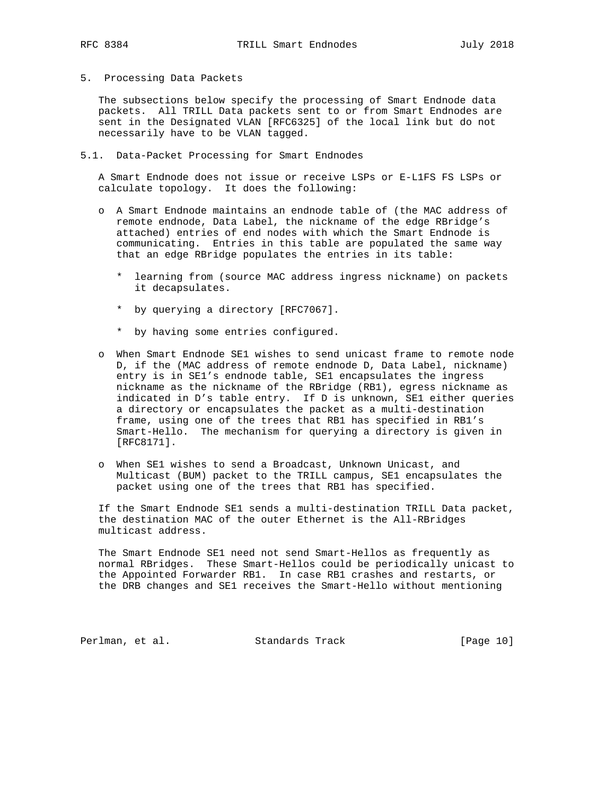5. Processing Data Packets

 The subsections below specify the processing of Smart Endnode data packets. All TRILL Data packets sent to or from Smart Endnodes are sent in the Designated VLAN [RFC6325] of the local link but do not necessarily have to be VLAN tagged.

5.1. Data-Packet Processing for Smart Endnodes

 A Smart Endnode does not issue or receive LSPs or E-L1FS FS LSPs or calculate topology. It does the following:

- o A Smart Endnode maintains an endnode table of (the MAC address of remote endnode, Data Label, the nickname of the edge RBridge's attached) entries of end nodes with which the Smart Endnode is communicating. Entries in this table are populated the same way that an edge RBridge populates the entries in its table:
	- \* learning from (source MAC address ingress nickname) on packets it decapsulates.
	- \* by querying a directory [RFC7067].
	- \* by having some entries configured.
- o When Smart Endnode SE1 wishes to send unicast frame to remote node D, if the (MAC address of remote endnode D, Data Label, nickname) entry is in SE1's endnode table, SE1 encapsulates the ingress nickname as the nickname of the RBridge (RB1), egress nickname as indicated in D's table entry. If D is unknown, SE1 either queries a directory or encapsulates the packet as a multi-destination frame, using one of the trees that RB1 has specified in RB1's Smart-Hello. The mechanism for querying a directory is given in [RFC8171].
- o When SE1 wishes to send a Broadcast, Unknown Unicast, and Multicast (BUM) packet to the TRILL campus, SE1 encapsulates the packet using one of the trees that RB1 has specified.

 If the Smart Endnode SE1 sends a multi-destination TRILL Data packet, the destination MAC of the outer Ethernet is the All-RBridges multicast address.

 The Smart Endnode SE1 need not send Smart-Hellos as frequently as normal RBridges. These Smart-Hellos could be periodically unicast to the Appointed Forwarder RB1. In case RB1 crashes and restarts, or the DRB changes and SE1 receives the Smart-Hello without mentioning

Perlman, et al. Standards Track [Page 10]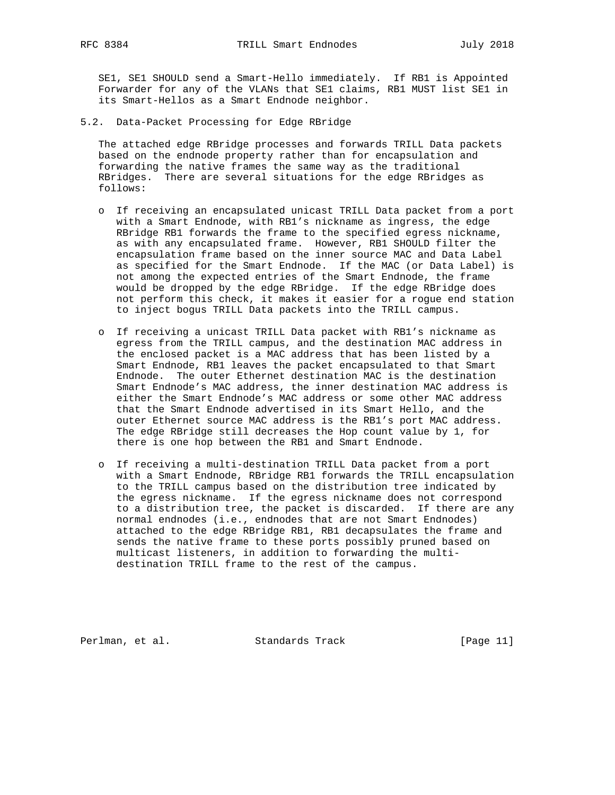SE1, SE1 SHOULD send a Smart-Hello immediately. If RB1 is Appointed Forwarder for any of the VLANs that SE1 claims, RB1 MUST list SE1 in its Smart-Hellos as a Smart Endnode neighbor.

5.2. Data-Packet Processing for Edge RBridge

 The attached edge RBridge processes and forwards TRILL Data packets based on the endnode property rather than for encapsulation and forwarding the native frames the same way as the traditional RBridges. There are several situations for the edge RBridges as follows:

- o If receiving an encapsulated unicast TRILL Data packet from a port with a Smart Endnode, with RB1's nickname as ingress, the edge RBridge RB1 forwards the frame to the specified egress nickname, as with any encapsulated frame. However, RB1 SHOULD filter the encapsulation frame based on the inner source MAC and Data Label as specified for the Smart Endnode. If the MAC (or Data Label) is not among the expected entries of the Smart Endnode, the frame would be dropped by the edge RBridge. If the edge RBridge does not perform this check, it makes it easier for a rogue end station to inject bogus TRILL Data packets into the TRILL campus.
- o If receiving a unicast TRILL Data packet with RB1's nickname as egress from the TRILL campus, and the destination MAC address in the enclosed packet is a MAC address that has been listed by a Smart Endnode, RB1 leaves the packet encapsulated to that Smart Endnode. The outer Ethernet destination MAC is the destination Smart Endnode's MAC address, the inner destination MAC address is either the Smart Endnode's MAC address or some other MAC address that the Smart Endnode advertised in its Smart Hello, and the outer Ethernet source MAC address is the RB1's port MAC address. The edge RBridge still decreases the Hop count value by 1, for there is one hop between the RB1 and Smart Endnode.
- o If receiving a multi-destination TRILL Data packet from a port with a Smart Endnode, RBridge RB1 forwards the TRILL encapsulation to the TRILL campus based on the distribution tree indicated by the egress nickname. If the egress nickname does not correspond to a distribution tree, the packet is discarded. If there are any normal endnodes (i.e., endnodes that are not Smart Endnodes) attached to the edge RBridge RB1, RB1 decapsulates the frame and sends the native frame to these ports possibly pruned based on multicast listeners, in addition to forwarding the multi destination TRILL frame to the rest of the campus.

Perlman, et al. Standards Track [Page 11]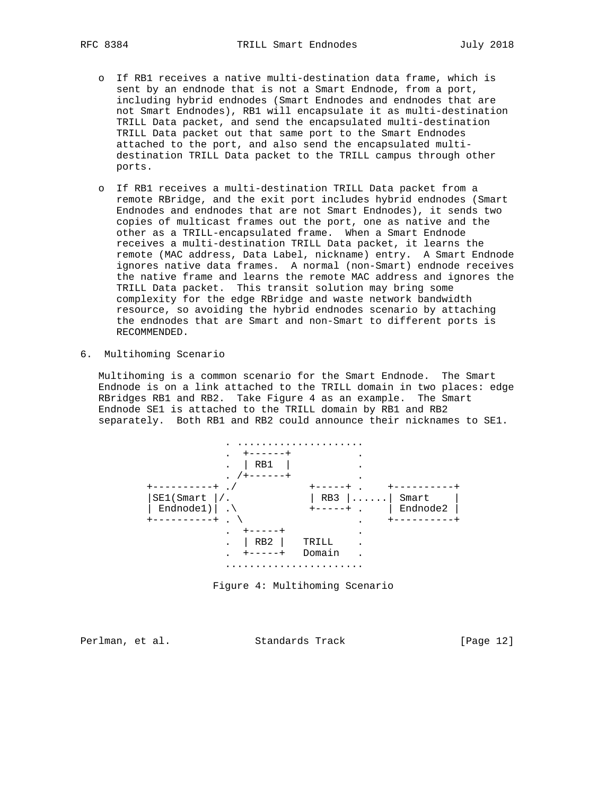- o If RB1 receives a native multi-destination data frame, which is sent by an endnode that is not a Smart Endnode, from a port, including hybrid endnodes (Smart Endnodes and endnodes that are not Smart Endnodes), RB1 will encapsulate it as multi-destination TRILL Data packet, and send the encapsulated multi-destination TRILL Data packet out that same port to the Smart Endnodes attached to the port, and also send the encapsulated multi destination TRILL Data packet to the TRILL campus through other ports.
- o If RB1 receives a multi-destination TRILL Data packet from a remote RBridge, and the exit port includes hybrid endnodes (Smart Endnodes and endnodes that are not Smart Endnodes), it sends two copies of multicast frames out the port, one as native and the other as a TRILL-encapsulated frame. When a Smart Endnode receives a multi-destination TRILL Data packet, it learns the remote (MAC address, Data Label, nickname) entry. A Smart Endnode ignores native data frames. A normal (non-Smart) endnode receives the native frame and learns the remote MAC address and ignores the TRILL Data packet. This transit solution may bring some complexity for the edge RBridge and waste network bandwidth resource, so avoiding the hybrid endnodes scenario by attaching the endnodes that are Smart and non-Smart to different ports is RECOMMENDED.
- 6. Multihoming Scenario

 Multihoming is a common scenario for the Smart Endnode. The Smart Endnode is on a link attached to the TRILL domain in two places: edge RBridges RB1 and RB2. Take Figure 4 as an example. The Smart Endnode SE1 is attached to the TRILL domain by RB1 and RB2 separately. Both RB1 and RB2 could announce their nicknames to SE1.



Figure 4: Multihoming Scenario

Perlman, et al. Standards Track [Page 12]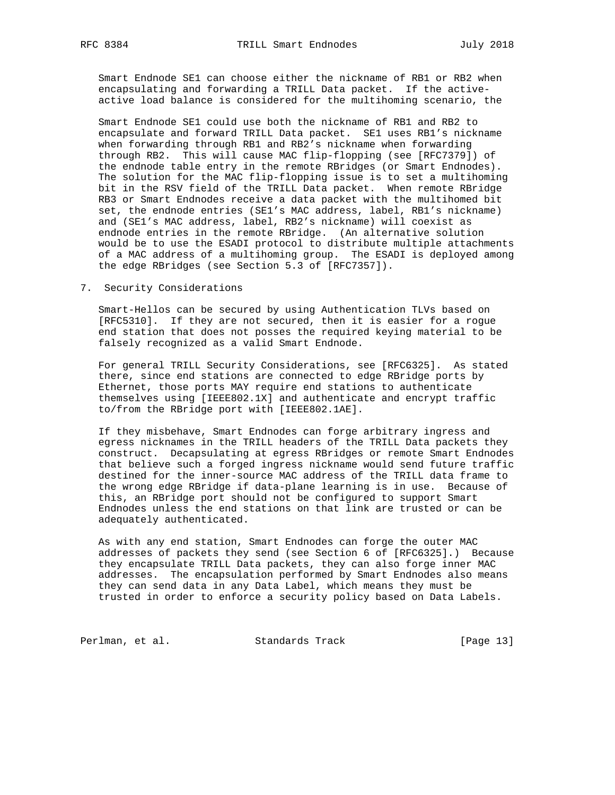Smart Endnode SE1 can choose either the nickname of RB1 or RB2 when encapsulating and forwarding a TRILL Data packet. If the active active load balance is considered for the multihoming scenario, the

 Smart Endnode SE1 could use both the nickname of RB1 and RB2 to encapsulate and forward TRILL Data packet. SE1 uses RB1's nickname when forwarding through RB1 and RB2's nickname when forwarding through RB2. This will cause MAC flip-flopping (see [RFC7379]) of the endnode table entry in the remote RBridges (or Smart Endnodes). The solution for the MAC flip-flopping issue is to set a multihoming bit in the RSV field of the TRILL Data packet. When remote RBridge RB3 or Smart Endnodes receive a data packet with the multihomed bit set, the endnode entries (SE1's MAC address, label, RB1's nickname) and (SE1's MAC address, label, RB2's nickname) will coexist as endnode entries in the remote RBridge. (An alternative solution would be to use the ESADI protocol to distribute multiple attachments of a MAC address of a multihoming group. The ESADI is deployed among the edge RBridges (see Section 5.3 of [RFC7357]).

7. Security Considerations

 Smart-Hellos can be secured by using Authentication TLVs based on [RFC5310]. If they are not secured, then it is easier for a rogue end station that does not posses the required keying material to be falsely recognized as a valid Smart Endnode.

 For general TRILL Security Considerations, see [RFC6325]. As stated there, since end stations are connected to edge RBridge ports by Ethernet, those ports MAY require end stations to authenticate themselves using [IEEE802.1X] and authenticate and encrypt traffic to/from the RBridge port with [IEEE802.1AE].

 If they misbehave, Smart Endnodes can forge arbitrary ingress and egress nicknames in the TRILL headers of the TRILL Data packets they construct. Decapsulating at egress RBridges or remote Smart Endnodes that believe such a forged ingress nickname would send future traffic destined for the inner-source MAC address of the TRILL data frame to the wrong edge RBridge if data-plane learning is in use. Because of this, an RBridge port should not be configured to support Smart Endnodes unless the end stations on that link are trusted or can be adequately authenticated.

 As with any end station, Smart Endnodes can forge the outer MAC addresses of packets they send (see Section 6 of [RFC6325].) Because they encapsulate TRILL Data packets, they can also forge inner MAC addresses. The encapsulation performed by Smart Endnodes also means they can send data in any Data Label, which means they must be trusted in order to enforce a security policy based on Data Labels.

Perlman, et al. Standards Track [Page 13]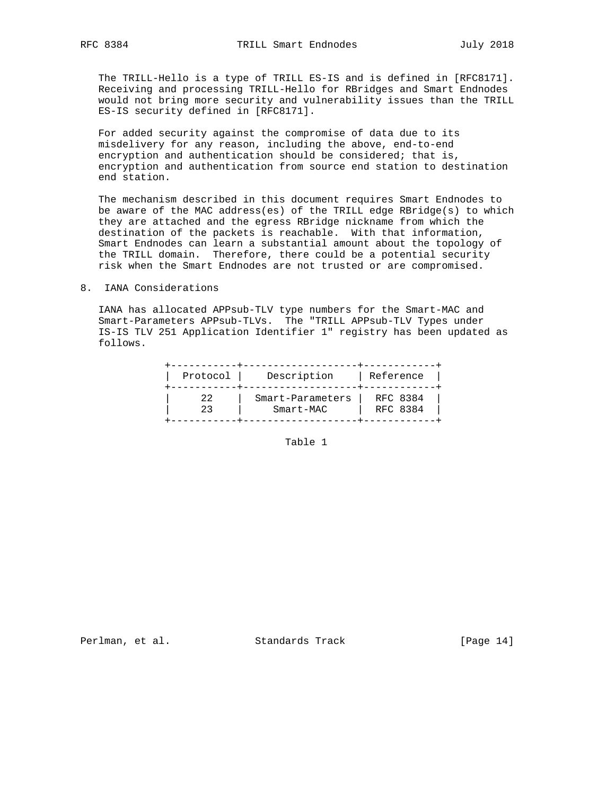The TRILL-Hello is a type of TRILL ES-IS and is defined in [RFC8171]. Receiving and processing TRILL-Hello for RBridges and Smart Endnodes would not bring more security and vulnerability issues than the TRILL ES-IS security defined in [RFC8171].

 For added security against the compromise of data due to its misdelivery for any reason, including the above, end-to-end encryption and authentication should be considered; that is, encryption and authentication from source end station to destination end station.

 The mechanism described in this document requires Smart Endnodes to be aware of the MAC address(es) of the TRILL edge RBridge(s) to which they are attached and the egress RBridge nickname from which the destination of the packets is reachable. With that information, Smart Endnodes can learn a substantial amount about the topology of the TRILL domain. Therefore, there could be a potential security risk when the Smart Endnodes are not trusted or are compromised.

8. IANA Considerations

 IANA has allocated APPsub-TLV type numbers for the Smart-MAC and Smart-Parameters APPsub-TLVs. The "TRILL APPsub-TLV Types under IS-IS TLV 251 Application Identifier 1" registry has been updated as follows.

| Protocol | Description      | Reference |
|----------|------------------|-----------|
| 22       | Smart-Parameters | RFC 8384  |
| 23       | Smart-MAC        | RFC 8384  |

Table 1

Perlman, et al. Standards Track [Page 14]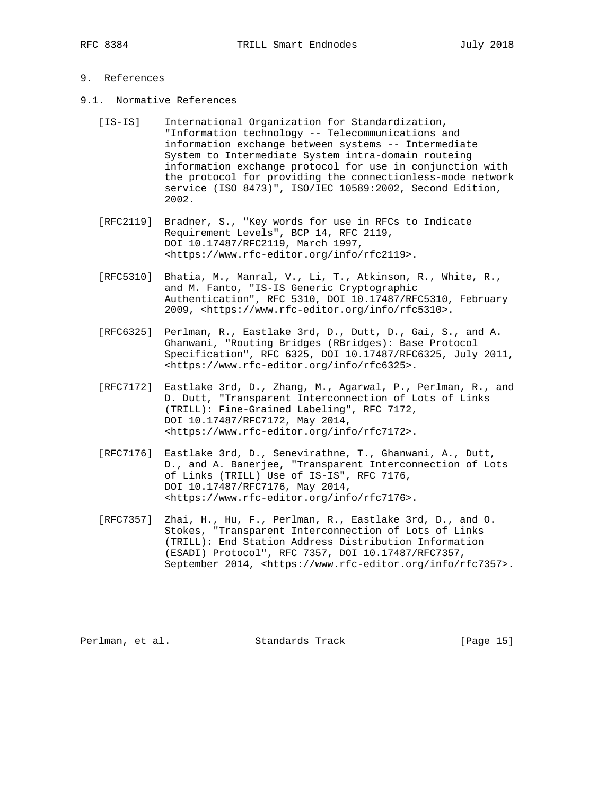# 9. References

- 9.1. Normative References
	- [IS-IS] International Organization for Standardization, "Information technology -- Telecommunications and information exchange between systems -- Intermediate System to Intermediate System intra-domain routeing information exchange protocol for use in conjunction with the protocol for providing the connectionless-mode network service (ISO 8473)", ISO/IEC 10589:2002, Second Edition, 2002.
	- [RFC2119] Bradner, S., "Key words for use in RFCs to Indicate Requirement Levels", BCP 14, RFC 2119, DOI 10.17487/RFC2119, March 1997, <https://www.rfc-editor.org/info/rfc2119>.
	- [RFC5310] Bhatia, M., Manral, V., Li, T., Atkinson, R., White, R., and M. Fanto, "IS-IS Generic Cryptographic Authentication", RFC 5310, DOI 10.17487/RFC5310, February 2009, <https://www.rfc-editor.org/info/rfc5310>.
	- [RFC6325] Perlman, R., Eastlake 3rd, D., Dutt, D., Gai, S., and A. Ghanwani, "Routing Bridges (RBridges): Base Protocol Specification", RFC 6325, DOI 10.17487/RFC6325, July 2011, <https://www.rfc-editor.org/info/rfc6325>.
	- [RFC7172] Eastlake 3rd, D., Zhang, M., Agarwal, P., Perlman, R., and D. Dutt, "Transparent Interconnection of Lots of Links (TRILL): Fine-Grained Labeling", RFC 7172, DOI 10.17487/RFC7172, May 2014, <https://www.rfc-editor.org/info/rfc7172>.
	- [RFC7176] Eastlake 3rd, D., Senevirathne, T., Ghanwani, A., Dutt, D., and A. Banerjee, "Transparent Interconnection of Lots of Links (TRILL) Use of IS-IS", RFC 7176, DOI 10.17487/RFC7176, May 2014, <https://www.rfc-editor.org/info/rfc7176>.
	- [RFC7357] Zhai, H., Hu, F., Perlman, R., Eastlake 3rd, D., and O. Stokes, "Transparent Interconnection of Lots of Links (TRILL): End Station Address Distribution Information (ESADI) Protocol", RFC 7357, DOI 10.17487/RFC7357, September 2014, <https://www.rfc-editor.org/info/rfc7357>.

Perlman, et al. Standards Track [Page 15]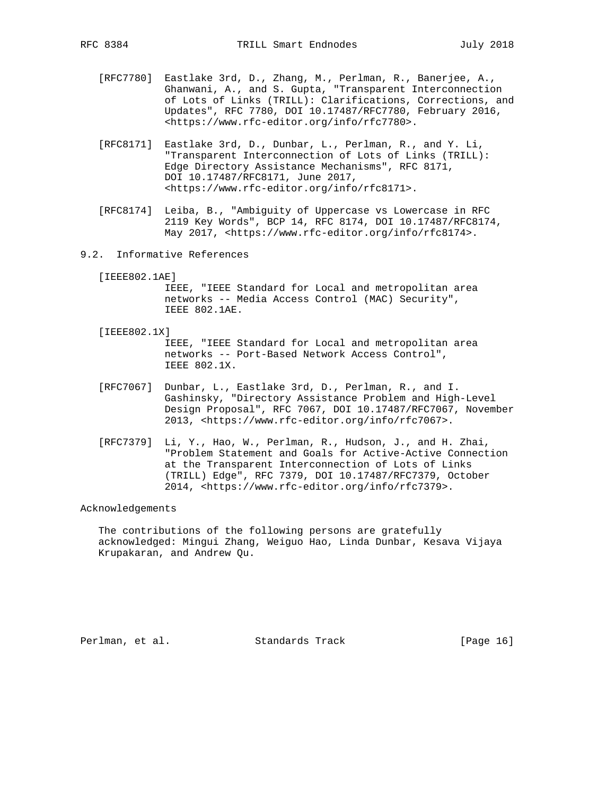- [RFC7780] Eastlake 3rd, D., Zhang, M., Perlman, R., Banerjee, A., Ghanwani, A., and S. Gupta, "Transparent Interconnection of Lots of Links (TRILL): Clarifications, Corrections, and Updates", RFC 7780, DOI 10.17487/RFC7780, February 2016, <https://www.rfc-editor.org/info/rfc7780>.
- [RFC8171] Eastlake 3rd, D., Dunbar, L., Perlman, R., and Y. Li, "Transparent Interconnection of Lots of Links (TRILL): Edge Directory Assistance Mechanisms", RFC 8171, DOI 10.17487/RFC8171, June 2017, <https://www.rfc-editor.org/info/rfc8171>.
- [RFC8174] Leiba, B., "Ambiguity of Uppercase vs Lowercase in RFC 2119 Key Words", BCP 14, RFC 8174, DOI 10.17487/RFC8174, May 2017, <https://www.rfc-editor.org/info/rfc8174>.
- 9.2. Informative References
	- [IEEE802.1AE]

 IEEE, "IEEE Standard for Local and metropolitan area networks -- Media Access Control (MAC) Security", IEEE 802.1AE.

[IEEE802.1X]

 IEEE, "IEEE Standard for Local and metropolitan area networks -- Port-Based Network Access Control", IEEE 802.1X.

- [RFC7067] Dunbar, L., Eastlake 3rd, D., Perlman, R., and I. Gashinsky, "Directory Assistance Problem and High-Level Design Proposal", RFC 7067, DOI 10.17487/RFC7067, November 2013, <https://www.rfc-editor.org/info/rfc7067>.
- [RFC7379] Li, Y., Hao, W., Perlman, R., Hudson, J., and H. Zhai, "Problem Statement and Goals for Active-Active Connection at the Transparent Interconnection of Lots of Links (TRILL) Edge", RFC 7379, DOI 10.17487/RFC7379, October 2014, <https://www.rfc-editor.org/info/rfc7379>.

# Acknowledgements

 The contributions of the following persons are gratefully acknowledged: Mingui Zhang, Weiguo Hao, Linda Dunbar, Kesava Vijaya Krupakaran, and Andrew Qu.

Perlman, et al. Standards Track [Page 16]